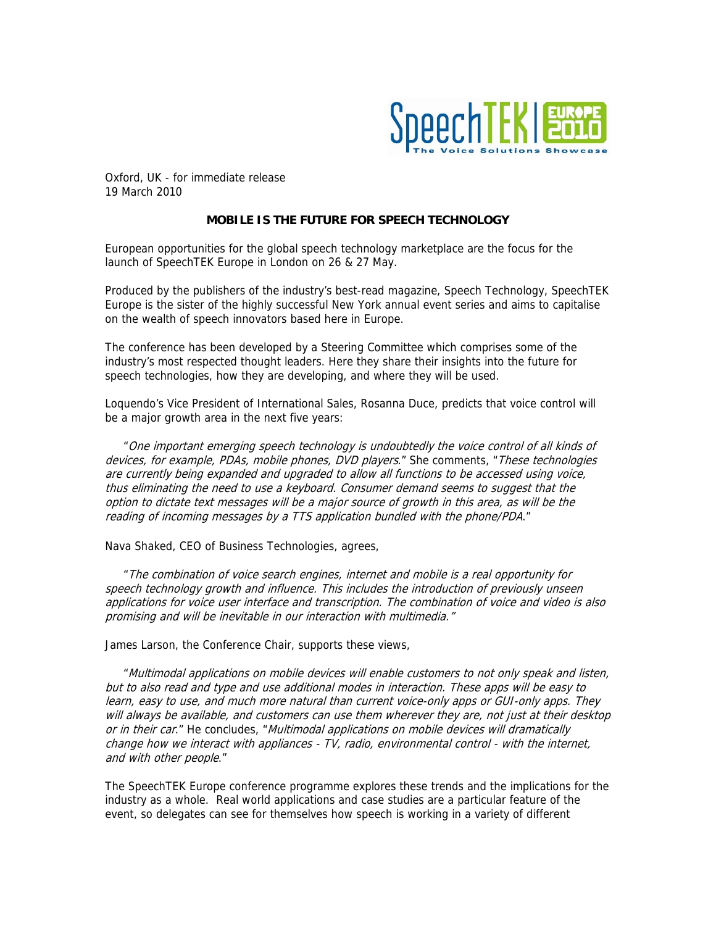

Oxford, UK - for immediate release 19 March 2010

## **MOBILE IS THE FUTURE FOR SPEECH TECHNOLOGY**

European opportunities for the global speech technology marketplace are the focus for the launch of SpeechTEK Europe in London on 26 & 27 May.

Produced by the publishers of the industry's best-read magazine, Speech Technology, SpeechTEK Europe is the sister of the highly successful New York annual event series and aims to capitalise on the wealth of speech innovators based here in Europe.

The conference has been developed by a Steering Committee which comprises some of the industry's most respected thought leaders. Here they share their insights into the future for speech technologies, how they are developing, and where they will be used.

Loquendo's Vice President of International Sales, Rosanna Duce, predicts that voice control will be a major growth area in the next five years:

 "One important emerging speech technology is undoubtedly the voice control of all kinds of devices, for example, PDAs, mobile phones, DVD players." She comments, "These technologies are currently being expanded and upgraded to allow all functions to be accessed using voice, thus eliminating the need to use a keyboard. Consumer demand seems to suggest that the option to dictate text messages will be a major source of growth in this area, as will be the reading of incoming messages by a TTS application bundled with the phone/PDA."

Nava Shaked, CEO of Business Technologies, agrees,

 "The combination of voice search engines, internet and mobile is a real opportunity for speech technology growth and influence. This includes the introduction of previously unseen applications for voice user interface and transcription. The combination of voice and video is also promising and will be inevitable in our interaction with multimedia."

James Larson, the Conference Chair, supports these views,

 "Multimodal applications on mobile devices will enable customers to not only speak and listen, but to also read and type and use additional modes in interaction. These apps will be easy to learn, easy to use, and much more natural than current voice-only apps or GUI-only apps. They will always be available, and customers can use them wherever they are, not just at their desktop or in their car." He concludes, "Multimodal applications on mobile devices will dramatically change how we interact with appliances - TV, radio, environmental control - with the internet, and with other people."

The SpeechTEK Europe conference programme explores these trends and the implications for the industry as a whole. Real world applications and case studies are a particular feature of the event, so delegates can see for themselves how speech is working in a variety of different